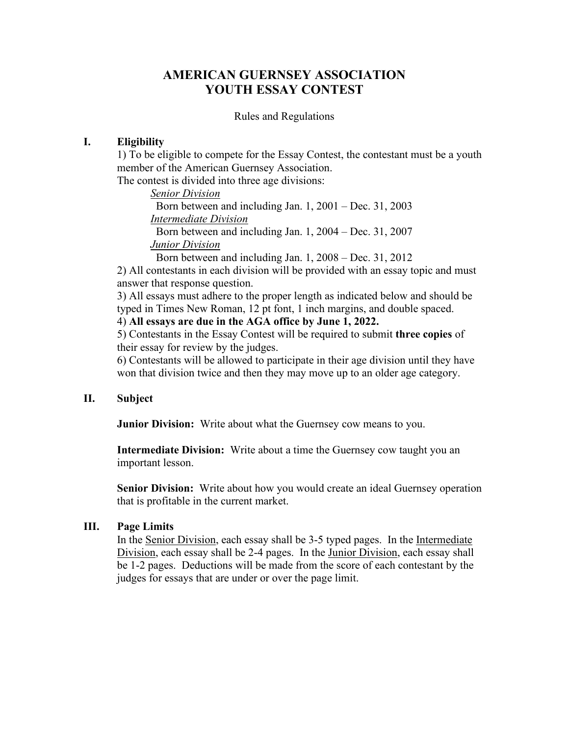## **AMERICAN GUERNSEY ASSOCIATION YOUTH ESSAY CONTEST**

#### Rules and Regulations

#### **I. Eligibility**

1) To be eligible to compete for the Essay Contest, the contestant must be a youth member of the American Guernsey Association.

The contest is divided into three age divisions:

*Senior Division*

 Born between and including Jan. 1, 2001 – Dec. 31, 2003 *Intermediate Division* Born between and including Jan. 1, 2004 – Dec. 31, 2007

*Junior Division*

Born between and including Jan. 1, 2008 – Dec. 31, 2012

2) All contestants in each division will be provided with an essay topic and must answer that response question.

3) All essays must adhere to the proper length as indicated below and should be typed in Times New Roman, 12 pt font, 1 inch margins, and double spaced.

#### 4) **All essays are due in the AGA office by June 1, 2022.**

5) Contestants in the Essay Contest will be required to submit **three copies** of their essay for review by the judges.

6) Contestants will be allowed to participate in their age division until they have won that division twice and then they may move up to an older age category.

#### **II. Subject**

**Junior Division:** Write about what the Guernsey cow means to you.

**Intermediate Division:** Write about a time the Guernsey cow taught you an important lesson.

**Senior Division:** Write about how you would create an ideal Guernsey operation that is profitable in the current market.

#### **III. Page Limits**

In the Senior Division, each essay shall be 3-5 typed pages. In the Intermediate Division, each essay shall be 2-4 pages. In the Junior Division, each essay shall be 1-2 pages. Deductions will be made from the score of each contestant by the judges for essays that are under or over the page limit.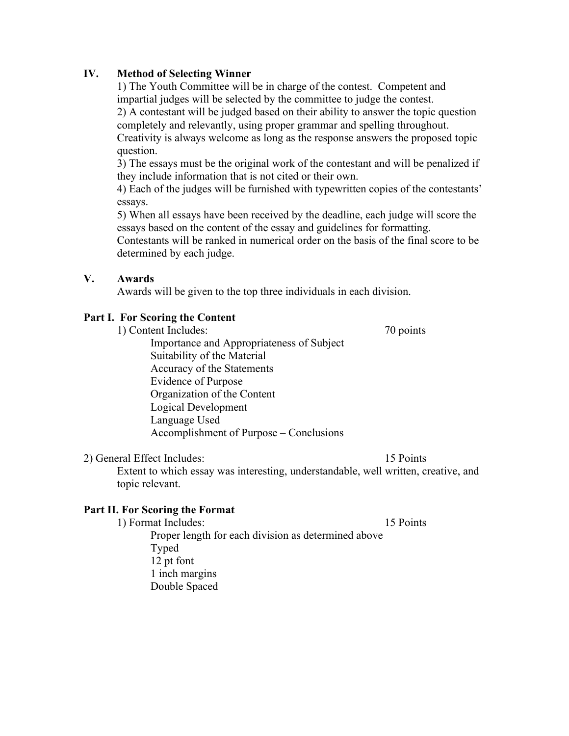## **IV. Method of Selecting Winner**

1) The Youth Committee will be in charge of the contest. Competent and impartial judges will be selected by the committee to judge the contest. 2) A contestant will be judged based on their ability to answer the topic question completely and relevantly, using proper grammar and spelling throughout. Creativity is always welcome as long as the response answers the proposed topic question.

3) The essays must be the original work of the contestant and will be penalized if they include information that is not cited or their own.

4) Each of the judges will be furnished with typewritten copies of the contestants' essays.

5) When all essays have been received by the deadline, each judge will score the essays based on the content of the essay and guidelines for formatting.

Contestants will be ranked in numerical order on the basis of the final score to be determined by each judge.

## **V. Awards**

Awards will be given to the top three individuals in each division.

## **Part I. For Scoring the Content**

1) Content Includes: 70 points

Importance and Appropriateness of Subject Suitability of the Material Accuracy of the Statements Evidence of Purpose Organization of the Content Logical Development Language Used Accomplishment of Purpose – Conclusions

## 2) General Effect Includes: 15 Points

Extent to which essay was interesting, understandable, well written, creative, and topic relevant.

## **Part II. For Scoring the Format**

1) Format Includes: 15 Points Proper length for each division as determined above Typed 12 pt font 1 inch margins Double Spaced